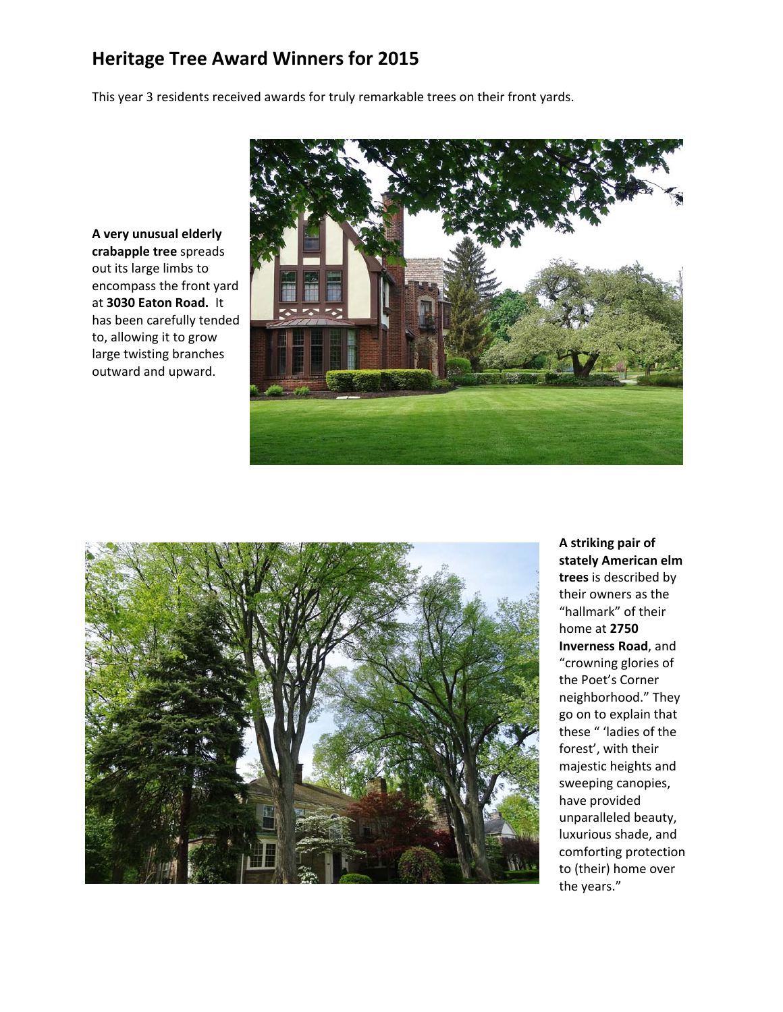## **Heritage Tree Award Winners for 2015**

This year 3 residents received awards for truly remarkable trees on their front yards.

**A very unusual elderly crabapple tree** spreads out its large limbs to encompass the front yard at **3030 Eaton Road.** It has been carefully tended to, allowing it to grow large twisting branches outward and upward.





**A striking pair of stately American elm trees** is described by their owners as the "hallmark" of their home at **2750 Inverness Road**, and "crowning glories of the Poet's Corner neighborhood." They go on to explain that these " 'ladies of the forest', with their majestic heights and sweeping canopies, have provided unparalleled beauty, luxurious shade, and comforting protection to (their) home over the years."